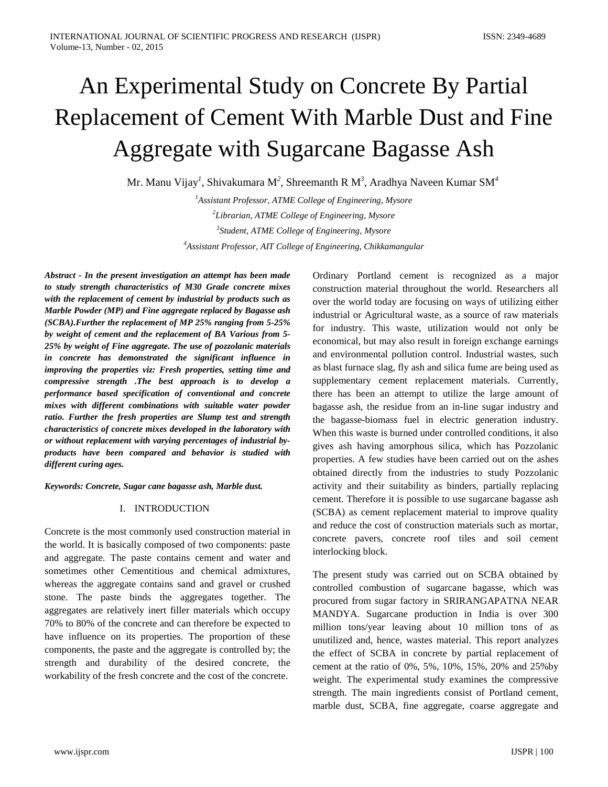# An Experimental Study on Concrete By Partial Replacement of Cement With Marble Dust and Fine Aggregate with Sugarcane Bagasse Ash

Mr. Manu Vijay*<sup>1</sup>* , Shivakumara M*<sup>2</sup>* , Shreemanth R M*<sup>3</sup>* , Aradhya Naveen Kumar SM*<sup>4</sup> 1 Assistant Professor, ATME College of Engineering, Mysore*

*2 Librarian, ATME College of Engineering, Mysore 3 Student, ATME College of Engineering, Mysore 4 Assistant Professor, AIT College of Engineering, Chikkamangular*

*Abstract - In the present investigation an attempt has been made to study strength characteristics of M30 Grade concrete mixes with the replacement of cement by industrial by products such as Marble Powder (MP) and Fine aggregate replaced by Bagasse ash (SCBA).Further the replacement of MP 25% ranging from 5-25% by weight of cement and the replacement of BA Various from 5- 25% by weight of Fine aggregate. The use of pozzolanic materials in concrete has demonstrated the significant influence in improving the properties viz: Fresh properties, setting time and compressive strength .The best approach is to develop a performance based specification of conventional and concrete mixes with different combinations with suitable water powder ratio. Further the fresh properties are Slump test and strength characteristics of concrete mixes developed in the laboratory with or without replacement with varying percentages of industrial byproducts have been compared and behavior is studied with different curing ages.*

*Keywords: Concrete, Sugar cane bagasse ash, Marble dust.*

### I. INTRODUCTION

Concrete is the most commonly used construction material in the world. It is basically composed of two components: paste and aggregate. The paste contains cement and water and sometimes other Cementitious and chemical admixtures, whereas the aggregate contains sand and gravel or crushed stone. The paste binds the aggregates together. The aggregates are relatively inert filler materials which occupy 70% to 80% of the concrete and can therefore be expected to have influence on its properties. The proportion of these components, the paste and the aggregate is controlled by; the strength and durability of the desired concrete, the workability of the fresh concrete and the cost of the concrete.

Ordinary Portland cement is recognized as a major construction material throughout the world. Researchers all over the world today are focusing on ways of utilizing either industrial or Agricultural waste, as a source of raw materials for industry. This waste, utilization would not only be economical, but may also result in foreign exchange earnings and environmental pollution control. Industrial wastes, such as blast furnace slag, fly ash and silica fume are being used as supplementary cement replacement materials. Currently, there has been an attempt to utilize the large amount of bagasse ash, the residue from an in-line sugar industry and the bagasse-biomass fuel in electric generation industry. When this waste is burned under controlled conditions, it also gives ash having amorphous silica, which has Pozzolanic properties. A few studies have been carried out on the ashes obtained directly from the industries to study Pozzolanic activity and their suitability as binders, partially replacing cement. Therefore it is possible to use sugarcane bagasse ash (SCBA) as cement replacement material to improve quality and reduce the cost of construction materials such as mortar, concrete pavers, concrete roof tiles and soil cement interlocking block.

The present study was carried out on SCBA obtained by controlled combustion of sugarcane bagasse, which was procured from sugar factory in SRIRANGAPATNA NEAR MANDYA. Sugarcane production in India is over 300 million tons/year leaving about 10 million tons of as unutilized and, hence, wastes material. This report analyzes the effect of SCBA in concrete by partial replacement of cement at the ratio of 0%, 5%, 10%, 15%, 20% and 25%by weight. The experimental study examines the compressive strength. The main ingredients consist of Portland cement, marble dust, SCBA, fine aggregate, coarse aggregate and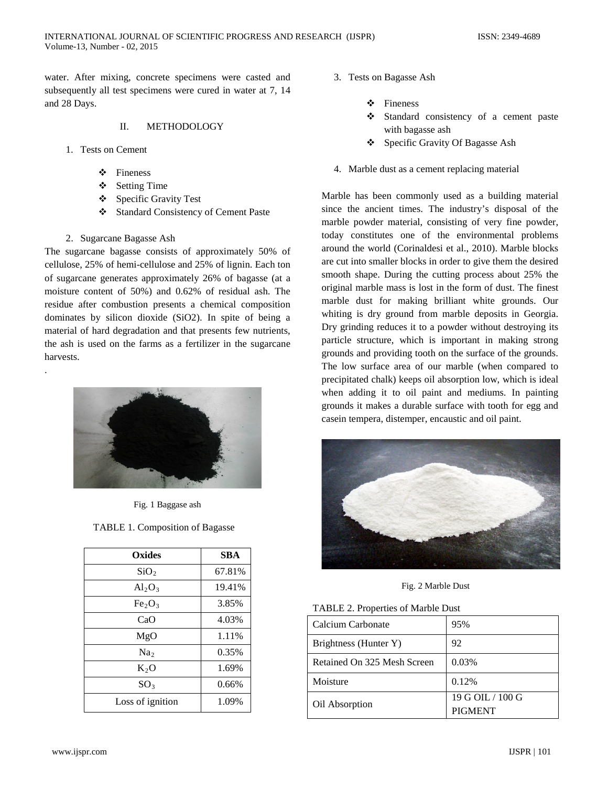water. After mixing, concrete specimens were casted and subsequently all test specimens were cured in water at 7, 14 and 28 Days.

#### II. METHODOLOGY

- 1. Tests on Cement
	- Fineness
	- ❖ Setting Time
	- Specific Gravity Test
	- Standard Consistency of Cement Paste
- 2. Sugarcane Bagasse Ash

.

The sugarcane bagasse consists of approximately 50% of cellulose, 25% of hemi-cellulose and 25% of lignin. Each ton of sugarcane generates approximately 26% of bagasse (at a moisture content of 50%) and 0.62% of residual ash. The residue after combustion presents a chemical composition dominates by silicon dioxide (SiO2). In spite of being a material of hard degradation and that presents few nutrients, the ash is used on the farms as a fertilizer in the sugarcane harvests.



Fig. 1 Baggase ash

| Oxides                         | <b>SBA</b> |
|--------------------------------|------------|
| SiO <sub>2</sub>               | 67.81%     |
| $Al_2O_3$                      | 19.41%     |
| Fe <sub>2</sub> O <sub>3</sub> | 3.85%      |
| CaO                            | 4.03%      |
| MgO                            | 1.11%      |
| Na <sub>2</sub>                | 0.35%      |
| $K_2O$                         | 1.69%      |
| SO <sub>3</sub>                | 0.66%      |
| Loss of ignition               | 1.09%      |

- 3. Tests on Bagasse Ash
	- Fineness
	- Standard consistency of a cement paste with bagasse ash
	- Specific Gravity Of Bagasse Ash
- 4. Marble dust as a cement replacing material

Marble has been commonly used as a building material since the ancient times. The industry's disposal of the marble powder material, consisting of very fine powder, today constitutes one of the environmental problems around the world (Corinaldesi et al., 2010). Marble blocks are cut into smaller blocks in order to give them the desired smooth shape. During the cutting process about 25% the original marble mass is lost in the form of dust. The finest marble dust for making brilliant white grounds. Our whiting is dry ground from marble deposits in Georgia. Dry grinding reduces it to a powder without destroying its particle structure, which is important in making strong grounds and providing tooth on the surface of the grounds. The low surface area of our marble (when compared to precipitated chalk) keeps oil absorption low, which is ideal when adding it to oil paint and mediums. In painting grounds it makes a durable surface with tooth for egg and casein tempera, distemper, encaustic and oil paint.



Fig. 2 Marble Dust

|  |  |  |  |  |  |  | TABLE 2. Properties of Marble Dust |  |
|--|--|--|--|--|--|--|------------------------------------|--|
|--|--|--|--|--|--|--|------------------------------------|--|

| Calcium Carbonate           | 95%                                |
|-----------------------------|------------------------------------|
| Brightness (Hunter Y)       | 92                                 |
| Retained On 325 Mesh Screen | 0.03%                              |
| Moisture                    | 0.12%                              |
| Oil Absorption              | 19 G OIL / 100 G<br><b>PIGMENT</b> |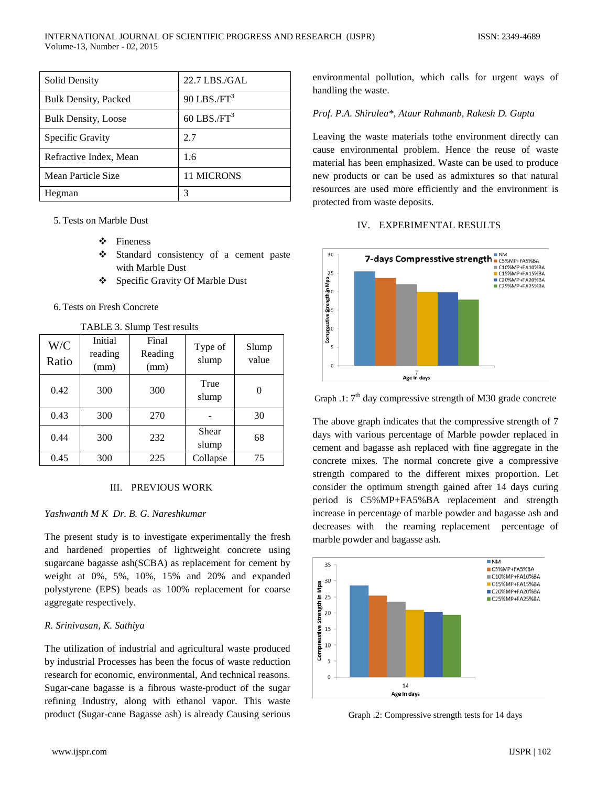| <b>Solid Density</b>        | 22.7 LBS./GAL             |
|-----------------------------|---------------------------|
| <b>Bulk Density, Packed</b> | $90$ LBS./FT <sup>3</sup> |
| <b>Bulk Density, Loose</b>  | 60 LBS./ $FT3$            |
| Specific Gravity            | 2.7                       |
| Refractive Index, Mean      | 1.6                       |
| Mean Particle Size          | <b>11 MICRONS</b>         |
| Hegman                      | 3                         |

5.Tests on Marble Dust

- Fineness
- Standard consistency of a cement paste with Marble Dust
- Specific Gravity Of Marble Dust

## 6.Tests on Fresh Concrete

| W/C<br>Ratio | Initial<br>reading<br>(mm) | Final<br>Reading<br>(mm) | Type of<br>slump | Slump<br>value |
|--------------|----------------------------|--------------------------|------------------|----------------|
| 0.42         | 300                        | 300                      | True<br>slump    | 0              |
| 0.43         | 300                        | 270                      |                  | 30             |
| 0.44         | 300                        | 232                      | Shear<br>slump   | 68             |
| 0.45         | 300                        | 225                      | Collapse         | 75             |

TABLE 3. Slump Test results

### III. PREVIOUS WORK

### *Yashwanth M K Dr. B. G. Nareshkumar*

The present study is to investigate experimentally the fresh and hardened properties of lightweight concrete using sugarcane bagasse ash(SCBA) as replacement for cement by weight at 0%, 5%, 10%, 15% and 20% and expanded polystyrene (EPS) beads as 100% replacement for coarse aggregate respectively.

### *R. Srinivasan, K. Sathiya*

The utilization of industrial and agricultural waste produced by industrial Processes has been the focus of waste reduction research for economic, environmental, And technical reasons. Sugar-cane bagasse is a fibrous waste-product of the sugar refining Industry, along with ethanol vapor. This waste product (Sugar-cane Bagasse ash) is already Causing serious environmental pollution, which calls for urgent ways of handling the waste.

## *Prof. P.A. Shirulea\*, Ataur Rahmanb, Rakesh D. Gupta*

Leaving the waste materials tothe environment directly can cause environmental problem. Hence the reuse of waste material has been emphasized. Waste can be used to produce new products or can be used as admixtures so that natural resources are used more efficiently and the environment is protected from waste deposits.

### IV. EXPERIMENTAL RESULTS



Graph .1:  $7<sup>th</sup>$  day compressive strength of M30 grade concrete

The above graph indicates that the compressive strength of 7 days with various percentage of Marble powder replaced in cement and bagasse ash replaced with fine aggregate in the concrete mixes. The normal concrete give a compressive strength compared to the different mixes proportion. Let consider the optimum strength gained after 14 days curing period is C5%MP+FA5%BA replacement and strength increase in percentage of marble powder and bagasse ash and decreases with the reaming replacement percentage of marble powder and bagasse ash.



Graph .2: Compressive strength tests for 14 days